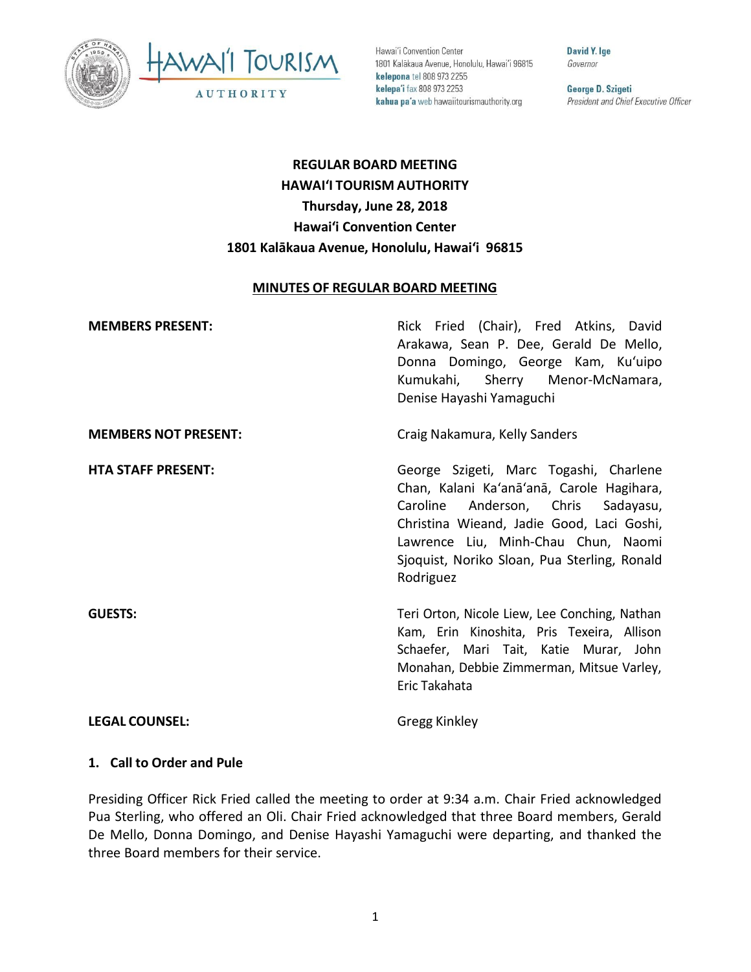



Hawai'i Convention Center 1801 Kalākaua Avenue, Honolulu, Hawai'i 96815 kelepona tel 808 973 2255 kelepa'i fax 808 973 2253 kahua pa'a web hawaiitourismauthority.org

David Y. Ige Governor

George D. Szigeti President and Chief Executive Officer

# **REGULAR BOARD MEETING HAWAI'I TOURISM AUTHORITY Thursday, June 28, 2018 Hawai'i Convention Center 1801 Kalākaua Avenue, Honolulu, Hawai'i 96815**

#### **MINUTES OF REGULAR BOARD MEETING**

| <b>MEMBERS PRESENT:</b>     | Rick Fried (Chair), Fred Atkins, David<br>Arakawa, Sean P. Dee, Gerald De Mello,<br>Donna Domingo, George Kam, Ku'uipo<br>Kumukahi, Sherry Menor-McNamara,<br>Denise Hayashi Yamaguchi                                                                                        |
|-----------------------------|-------------------------------------------------------------------------------------------------------------------------------------------------------------------------------------------------------------------------------------------------------------------------------|
| <b>MEMBERS NOT PRESENT:</b> | Craig Nakamura, Kelly Sanders                                                                                                                                                                                                                                                 |
| <b>HTA STAFF PRESENT:</b>   | George Szigeti, Marc Togashi, Charlene<br>Chan, Kalani Ka'anā'anā, Carole Hagihara,<br>Anderson, Chris Sadayasu,<br>Caroline<br>Christina Wieand, Jadie Good, Laci Goshi,<br>Lawrence Liu, Minh-Chau Chun, Naomi<br>Sjoquist, Noriko Sloan, Pua Sterling, Ronald<br>Rodriguez |
| <b>GUESTS:</b>              | Teri Orton, Nicole Liew, Lee Conching, Nathan<br>Kam, Erin Kinoshita, Pris Texeira, Allison<br>Schaefer, Mari Tait, Katie Murar, John<br>Monahan, Debbie Zimmerman, Mitsue Varley,<br>Eric Takahata                                                                           |
| <b>LEGAL COUNSEL:</b>       | Gregg Kinkley                                                                                                                                                                                                                                                                 |

#### **1. Call to Order and Pule**

Presiding Officer Rick Fried called the meeting to order at 9:34 a.m. Chair Fried acknowledged Pua Sterling, who offered an Oli. Chair Fried acknowledged that three Board members, Gerald De Mello, Donna Domingo, and Denise Hayashi Yamaguchi were departing, and thanked the three Board members for their service.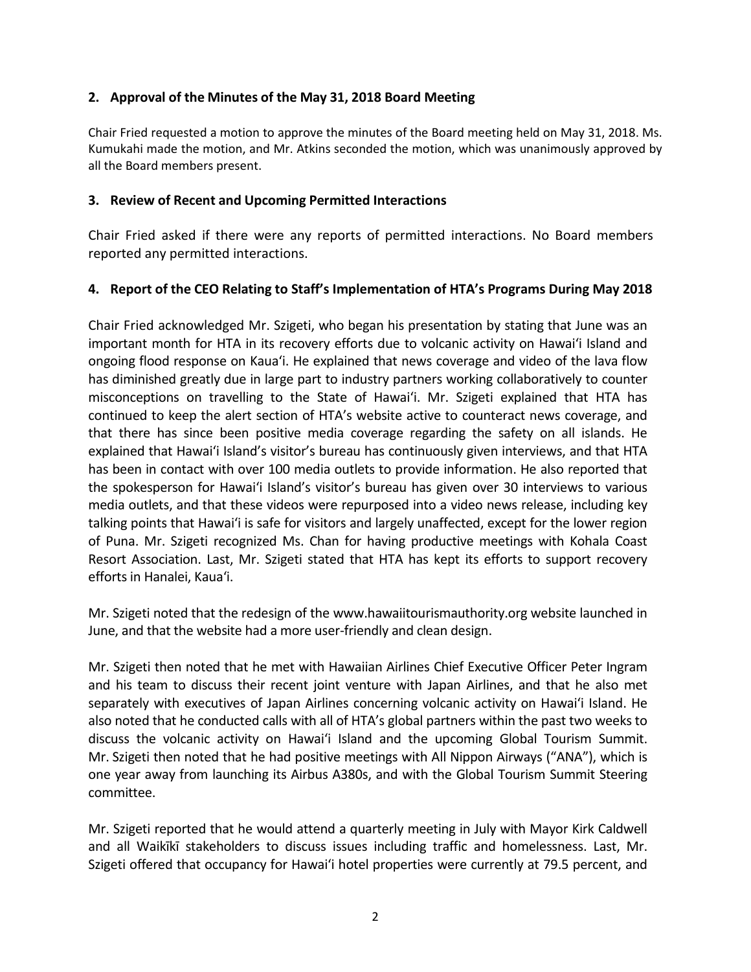#### **2. Approval of the Minutes of the May 31, 2018 Board Meeting**

Chair Fried requested a motion to approve the minutes of the Board meeting held on May 31, 2018. Ms. Kumukahi made the motion, and Mr. Atkins seconded the motion, which was unanimously approved by all the Board members present.

#### **3. Review of Recent and Upcoming Permitted Interactions**

Chair Fried asked if there were any reports of permitted interactions. No Board members reported any permitted interactions.

#### **4. Report of the CEO Relating to Staff's Implementation of HTA's Programs During May 2018**

Chair Fried acknowledged Mr. Szigeti, who began his presentation by stating that June was an important month for HTA in its recovery efforts due to volcanic activity on Hawai'i Island and ongoing flood response on Kaua'i. He explained that news coverage and video of the lava flow has diminished greatly due in large part to industry partners working collaboratively to counter misconceptions on travelling to the State of Hawai'i. Mr. Szigeti explained that HTA has continued to keep the alert section of HTA's website active to counteract news coverage, and that there has since been positive media coverage regarding the safety on all islands. He explained that Hawai'i Island's visitor's bureau has continuously given interviews, and that HTA has been in contact with over 100 media outlets to provide information. He also reported that the spokesperson for Hawai'i Island's visitor's bureau has given over 30 interviews to various media outlets, and that these videos were repurposed into a video news release, including key talking points that Hawai'i is safe for visitors and largely unaffected, except for the lower region of Puna. Mr. Szigeti recognized Ms. Chan for having productive meetings with Kohala Coast Resort Association. Last, Mr. Szigeti stated that HTA has kept its efforts to support recovery efforts in Hanalei, Kaua'i.

Mr. Szigeti noted that the redesign of the www.hawaiitourismauthority.org website launched in June, and that the website had a more user-friendly and clean design.

Mr. Szigeti then noted that he met with Hawaiian Airlines Chief Executive Officer Peter Ingram and his team to discuss their recent joint venture with Japan Airlines, and that he also met separately with executives of Japan Airlines concerning volcanic activity on Hawai'i Island. He also noted that he conducted calls with all of HTA's global partners within the past two weeks to discuss the volcanic activity on Hawai'i Island and the upcoming Global Tourism Summit. Mr. Szigeti then noted that he had positive meetings with All Nippon Airways ("ANA"), which is one year away from launching its Airbus A380s, and with the Global Tourism Summit Steering committee.

Mr. Szigeti reported that he would attend a quarterly meeting in July with Mayor Kirk Caldwell and all Waikīkī stakeholders to discuss issues including traffic and homelessness. Last, Mr. Szigeti offered that occupancy for Hawai'i hotel properties were currently at 79.5 percent, and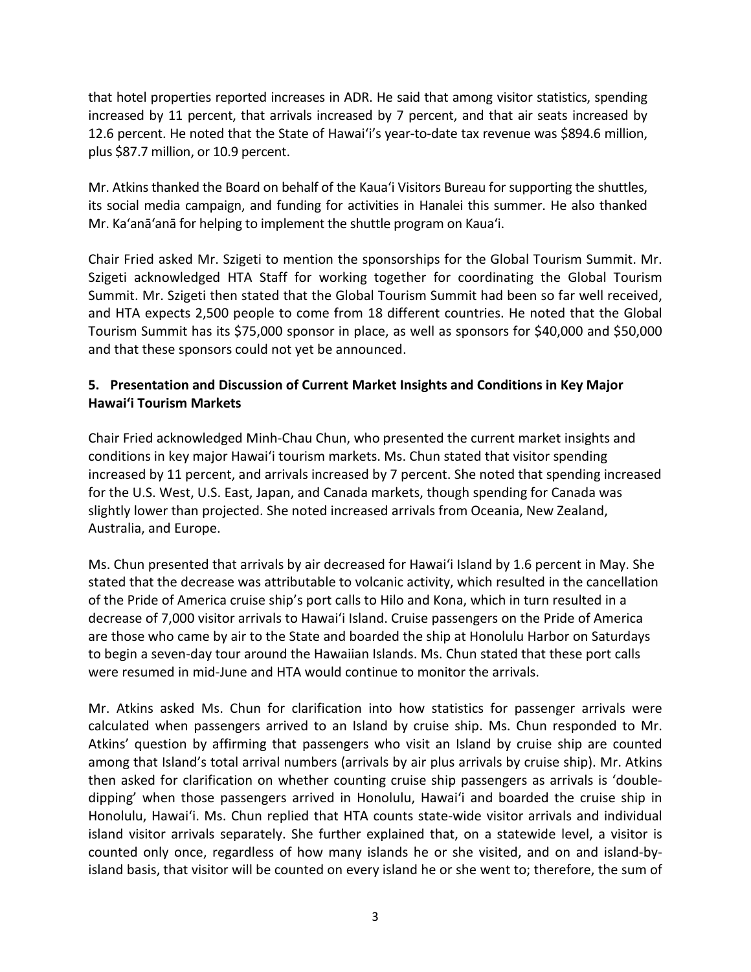that hotel properties reported increases in ADR. He said that among visitor statistics, spending increased by 11 percent, that arrivals increased by 7 percent, and that air seats increased by 12.6 percent. He noted that the State of Hawai'i's year-to-date tax revenue was \$894.6 million, plus \$87.7 million, or 10.9 percent.

Mr. Atkins thanked the Board on behalf of the Kaua'i Visitors Bureau for supporting the shuttles, its social media campaign, and funding for activities in Hanalei this summer. He also thanked Mr. Ka'anā'anā for helping to implement the shuttle program on Kaua'i.

Chair Fried asked Mr. Szigeti to mention the sponsorships for the Global Tourism Summit. Mr. Szigeti acknowledged HTA Staff for working together for coordinating the Global Tourism Summit. Mr. Szigeti then stated that the Global Tourism Summit had been so far well received, and HTA expects 2,500 people to come from 18 different countries. He noted that the Global Tourism Summit has its \$75,000 sponsor in place, as well as sponsors for \$40,000 and \$50,000 and that these sponsors could not yet be announced.

## **5. Presentation and Discussion of Current Market Insights and Conditions in Key Major Hawai'i Tourism Markets**

Chair Fried acknowledged Minh-Chau Chun, who presented the current market insights and conditions in key major Hawai'i tourism markets. Ms. Chun stated that visitor spending increased by 11 percent, and arrivals increased by 7 percent. She noted that spending increased for the U.S. West, U.S. East, Japan, and Canada markets, though spending for Canada was slightly lower than projected. She noted increased arrivals from Oceania, New Zealand, Australia, and Europe.

Ms. Chun presented that arrivals by air decreased for Hawai'i Island by 1.6 percent in May. She stated that the decrease was attributable to volcanic activity, which resulted in the cancellation of the Pride of America cruise ship's port calls to Hilo and Kona, which in turn resulted in a decrease of 7,000 visitor arrivals to Hawai'i Island. Cruise passengers on the Pride of America are those who came by air to the State and boarded the ship at Honolulu Harbor on Saturdays to begin a seven-day tour around the Hawaiian Islands. Ms. Chun stated that these port calls were resumed in mid-June and HTA would continue to monitor the arrivals.

Mr. Atkins asked Ms. Chun for clarification into how statistics for passenger arrivals were calculated when passengers arrived to an Island by cruise ship. Ms. Chun responded to Mr. Atkins' question by affirming that passengers who visit an Island by cruise ship are counted among that Island's total arrival numbers (arrivals by air plus arrivals by cruise ship). Mr. Atkins then asked for clarification on whether counting cruise ship passengers as arrivals is 'doubledipping' when those passengers arrived in Honolulu, Hawai'i and boarded the cruise ship in Honolulu, Hawai'i. Ms. Chun replied that HTA counts state-wide visitor arrivals and individual island visitor arrivals separately. She further explained that, on a statewide level, a visitor is counted only once, regardless of how many islands he or she visited, and on and island-byisland basis, that visitor will be counted on every island he or she went to; therefore, the sum of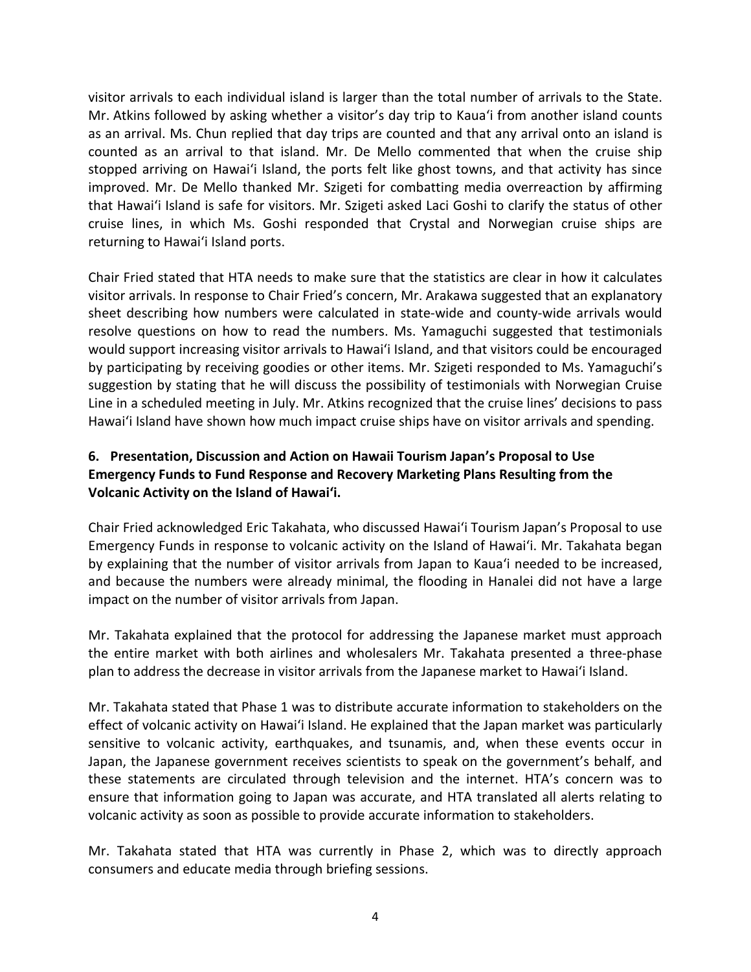visitor arrivals to each individual island is larger than the total number of arrivals to the State. Mr. Atkins followed by asking whether a visitor's day trip to Kaua'i from another island counts as an arrival. Ms. Chun replied that day trips are counted and that any arrival onto an island is counted as an arrival to that island. Mr. De Mello commented that when the cruise ship stopped arriving on Hawai'i Island, the ports felt like ghost towns, and that activity has since improved. Mr. De Mello thanked Mr. Szigeti for combatting media overreaction by affirming that Hawai'i Island is safe for visitors. Mr. Szigeti asked Laci Goshi to clarify the status of other cruise lines, in which Ms. Goshi responded that Crystal and Norwegian cruise ships are returning to Hawai'i Island ports.

Chair Fried stated that HTA needs to make sure that the statistics are clear in how it calculates visitor arrivals. In response to Chair Fried's concern, Mr. Arakawa suggested that an explanatory sheet describing how numbers were calculated in state-wide and county-wide arrivals would resolve questions on how to read the numbers. Ms. Yamaguchi suggested that testimonials would support increasing visitor arrivals to Hawai'i Island, and that visitors could be encouraged by participating by receiving goodies or other items. Mr. Szigeti responded to Ms. Yamaguchi's suggestion by stating that he will discuss the possibility of testimonials with Norwegian Cruise Line in a scheduled meeting in July. Mr. Atkins recognized that the cruise lines' decisions to pass Hawai'i Island have shown how much impact cruise ships have on visitor arrivals and spending.

## **6. Presentation, Discussion and Action on Hawaii Tourism Japan's Proposal to Use Emergency Funds to Fund Response and Recovery Marketing Plans Resulting from the Volcanic Activity on the Island of Hawai'i.**

Chair Fried acknowledged Eric Takahata, who discussed Hawai'i Tourism Japan's Proposal to use Emergency Funds in response to volcanic activity on the Island of Hawai'i. Mr. Takahata began by explaining that the number of visitor arrivals from Japan to Kaua'i needed to be increased, and because the numbers were already minimal, the flooding in Hanalei did not have a large impact on the number of visitor arrivals from Japan.

Mr. Takahata explained that the protocol for addressing the Japanese market must approach the entire market with both airlines and wholesalers Mr. Takahata presented a three-phase plan to address the decrease in visitor arrivals from the Japanese market to Hawai'i Island.

Mr. Takahata stated that Phase 1 was to distribute accurate information to stakeholders on the effect of volcanic activity on Hawai'i Island. He explained that the Japan market was particularly sensitive to volcanic activity, earthquakes, and tsunamis, and, when these events occur in Japan, the Japanese government receives scientists to speak on the government's behalf, and these statements are circulated through television and the internet. HTA's concern was to ensure that information going to Japan was accurate, and HTA translated all alerts relating to volcanic activity as soon as possible to provide accurate information to stakeholders.

Mr. Takahata stated that HTA was currently in Phase 2, which was to directly approach consumers and educate media through briefing sessions.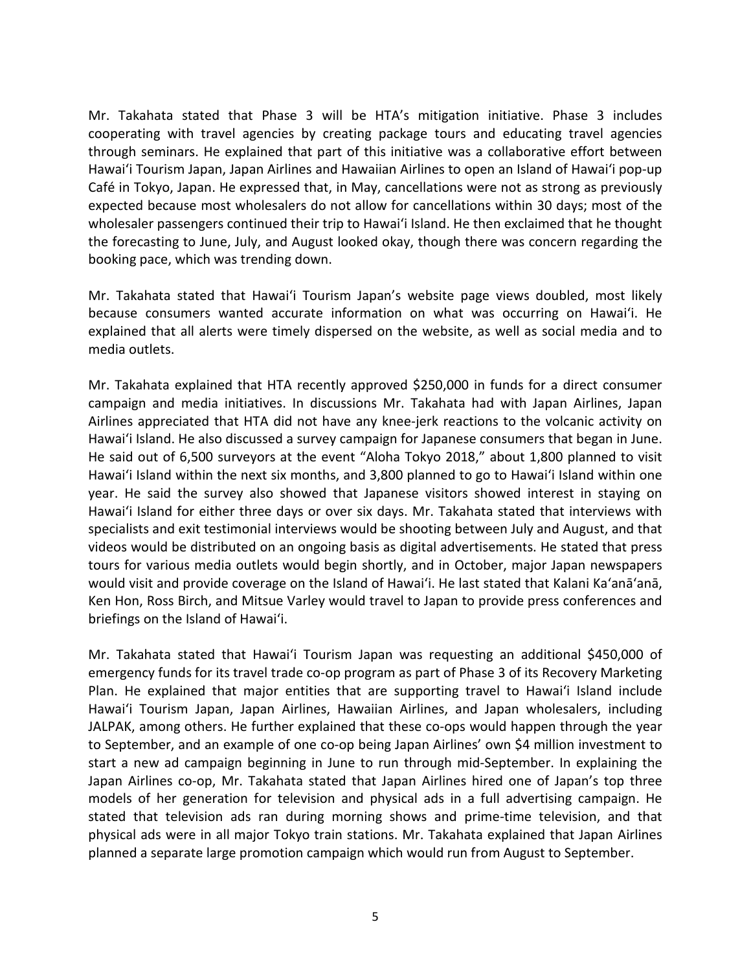Mr. Takahata stated that Phase 3 will be HTA's mitigation initiative. Phase 3 includes cooperating with travel agencies by creating package tours and educating travel agencies through seminars. He explained that part of this initiative was a collaborative effort between Hawai'i Tourism Japan, Japan Airlines and Hawaiian Airlines to open an Island of Hawai'i pop-up Café in Tokyo, Japan. He expressed that, in May, cancellations were not as strong as previously expected because most wholesalers do not allow for cancellations within 30 days; most of the wholesaler passengers continued their trip to Hawai'i Island. He then exclaimed that he thought the forecasting to June, July, and August looked okay, though there was concern regarding the booking pace, which was trending down.

Mr. Takahata stated that Hawai'i Tourism Japan's website page views doubled, most likely because consumers wanted accurate information on what was occurring on Hawai'i. He explained that all alerts were timely dispersed on the website, as well as social media and to media outlets.

Mr. Takahata explained that HTA recently approved \$250,000 in funds for a direct consumer campaign and media initiatives. In discussions Mr. Takahata had with Japan Airlines, Japan Airlines appreciated that HTA did not have any knee-jerk reactions to the volcanic activity on Hawai'i Island. He also discussed a survey campaign for Japanese consumers that began in June. He said out of 6,500 surveyors at the event "Aloha Tokyo 2018," about 1,800 planned to visit Hawai'i Island within the next six months, and 3,800 planned to go to Hawai'i Island within one year. He said the survey also showed that Japanese visitors showed interest in staying on Hawai'i Island for either three days or over six days. Mr. Takahata stated that interviews with specialists and exit testimonial interviews would be shooting between July and August, and that videos would be distributed on an ongoing basis as digital advertisements. He stated that press tours for various media outlets would begin shortly, and in October, major Japan newspapers would visit and provide coverage on the Island of Hawai'i. He last stated that Kalani Ka'anā'anā, Ken Hon, Ross Birch, and Mitsue Varley would travel to Japan to provide press conferences and briefings on the Island of Hawai'i.

Mr. Takahata stated that Hawai'i Tourism Japan was requesting an additional \$450,000 of emergency funds for its travel trade co-op program as part of Phase 3 of its Recovery Marketing Plan. He explained that major entities that are supporting travel to Hawai'i Island include Hawai'i Tourism Japan, Japan Airlines, Hawaiian Airlines, and Japan wholesalers, including JALPAK, among others. He further explained that these co-ops would happen through the year to September, and an example of one co-op being Japan Airlines' own \$4 million investment to start a new ad campaign beginning in June to run through mid-September. In explaining the Japan Airlines co-op, Mr. Takahata stated that Japan Airlines hired one of Japan's top three models of her generation for television and physical ads in a full advertising campaign. He stated that television ads ran during morning shows and prime-time television, and that physical ads were in all major Tokyo train stations. Mr. Takahata explained that Japan Airlines planned a separate large promotion campaign which would run from August to September.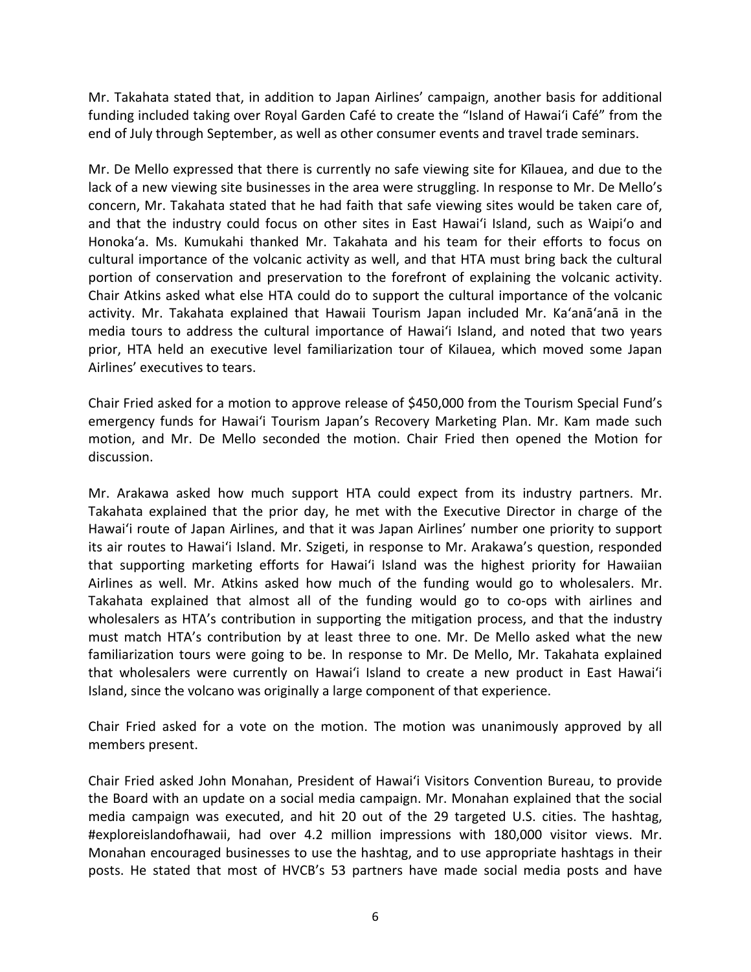Mr. Takahata stated that, in addition to Japan Airlines' campaign, another basis for additional funding included taking over Royal Garden Café to create the "Island of Hawai'i Café" from the end of July through September, as well as other consumer events and travel trade seminars.

Mr. De Mello expressed that there is currently no safe viewing site for Kīlauea, and due to the lack of a new viewing site businesses in the area were struggling. In response to Mr. De Mello's concern, Mr. Takahata stated that he had faith that safe viewing sites would be taken care of, and that the industry could focus on other sites in East Hawai'i Island, such as Waipi'o and Honoka'a. Ms. Kumukahi thanked Mr. Takahata and his team for their efforts to focus on cultural importance of the volcanic activity as well, and that HTA must bring back the cultural portion of conservation and preservation to the forefront of explaining the volcanic activity. Chair Atkins asked what else HTA could do to support the cultural importance of the volcanic activity. Mr. Takahata explained that Hawaii Tourism Japan included Mr. Ka'anā'anā in the media tours to address the cultural importance of Hawai'i Island, and noted that two years prior, HTA held an executive level familiarization tour of Kilauea, which moved some Japan Airlines' executives to tears.

Chair Fried asked for a motion to approve release of \$450,000 from the Tourism Special Fund's emergency funds for Hawai'i Tourism Japan's Recovery Marketing Plan. Mr. Kam made such motion, and Mr. De Mello seconded the motion. Chair Fried then opened the Motion for discussion.

Mr. Arakawa asked how much support HTA could expect from its industry partners. Mr. Takahata explained that the prior day, he met with the Executive Director in charge of the Hawai'i route of Japan Airlines, and that it was Japan Airlines' number one priority to support its air routes to Hawai'i Island. Mr. Szigeti, in response to Mr. Arakawa's question, responded that supporting marketing efforts for Hawai'i Island was the highest priority for Hawaiian Airlines as well. Mr. Atkins asked how much of the funding would go to wholesalers. Mr. Takahata explained that almost all of the funding would go to co-ops with airlines and wholesalers as HTA's contribution in supporting the mitigation process, and that the industry must match HTA's contribution by at least three to one. Mr. De Mello asked what the new familiarization tours were going to be. In response to Mr. De Mello, Mr. Takahata explained that wholesalers were currently on Hawai'i Island to create a new product in East Hawai'i Island, since the volcano was originally a large component of that experience.

Chair Fried asked for a vote on the motion. The motion was unanimously approved by all members present.

Chair Fried asked John Monahan, President of Hawai'i Visitors Convention Bureau, to provide the Board with an update on a social media campaign. Mr. Monahan explained that the social media campaign was executed, and hit 20 out of the 29 targeted U.S. cities. The hashtag, #exploreislandofhawaii, had over 4.2 million impressions with 180,000 visitor views. Mr. Monahan encouraged businesses to use the hashtag, and to use appropriate hashtags in their posts. He stated that most of HVCB's 53 partners have made social media posts and have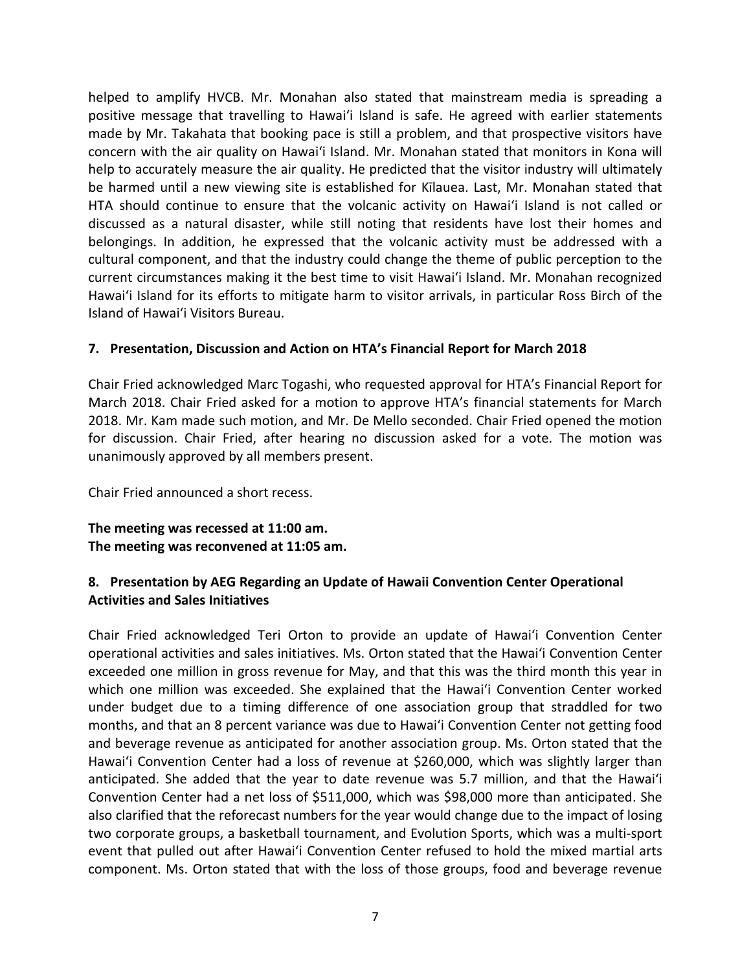helped to amplify HVCB. Mr. Monahan also stated that mainstream media is spreading a positive message that travelling to Hawai'i Island is safe. He agreed with earlier statements made by Mr. Takahata that booking pace is still a problem, and that prospective visitors have concern with the air quality on Hawai'i Island. Mr. Monahan stated that monitors in Kona will help to accurately measure the air quality. He predicted that the visitor industry will ultimately be harmed until a new viewing site is established for Kīlauea. Last, Mr. Monahan stated that HTA should continue to ensure that the volcanic activity on Hawai'i Island is not called or discussed as a natural disaster, while still noting that residents have lost their homes and belongings. In addition, he expressed that the volcanic activity must be addressed with a cultural component, and that the industry could change the theme of public perception to the current circumstances making it the best time to visit Hawai'i Island. Mr. Monahan recognized Hawai'i Island for its efforts to mitigate harm to visitor arrivals, in particular Ross Birch of the Island of Hawai'i Visitors Bureau.

#### **7. Presentation, Discussion and Action on HTA's Financial Report for March 2018**

Chair Fried acknowledged Marc Togashi, who requested approval for HTA's Financial Report for March 2018. Chair Fried asked for a motion to approve HTA's financial statements for March 2018. Mr. Kam made such motion, and Mr. De Mello seconded. Chair Fried opened the motion for discussion. Chair Fried, after hearing no discussion asked for a vote. The motion was unanimously approved by all members present.

Chair Fried announced a short recess.

**The meeting was recessed at 11:00 am. The meeting was reconvened at 11:05 am.**

#### **8. Presentation by AEG Regarding an Update of Hawaii Convention Center Operational Activities and Sales Initiatives**

Chair Fried acknowledged Teri Orton to provide an update of Hawai'i Convention Center operational activities and sales initiatives. Ms. Orton stated that the Hawai'i Convention Center exceeded one million in gross revenue for May, and that this was the third month this year in which one million was exceeded. She explained that the Hawai'i Convention Center worked under budget due to a timing difference of one association group that straddled for two months, and that an 8 percent variance was due to Hawai'i Convention Center not getting food and beverage revenue as anticipated for another association group. Ms. Orton stated that the Hawai'i Convention Center had a loss of revenue at \$260,000, which was slightly larger than anticipated. She added that the year to date revenue was 5.7 million, and that the Hawai'i Convention Center had a net loss of \$511,000, which was \$98,000 more than anticipated. She also clarified that the reforecast numbers for the year would change due to the impact of losing two corporate groups, a basketball tournament, and Evolution Sports, which was a multi-sport event that pulled out after Hawai'i Convention Center refused to hold the mixed martial arts component. Ms. Orton stated that with the loss of those groups, food and beverage revenue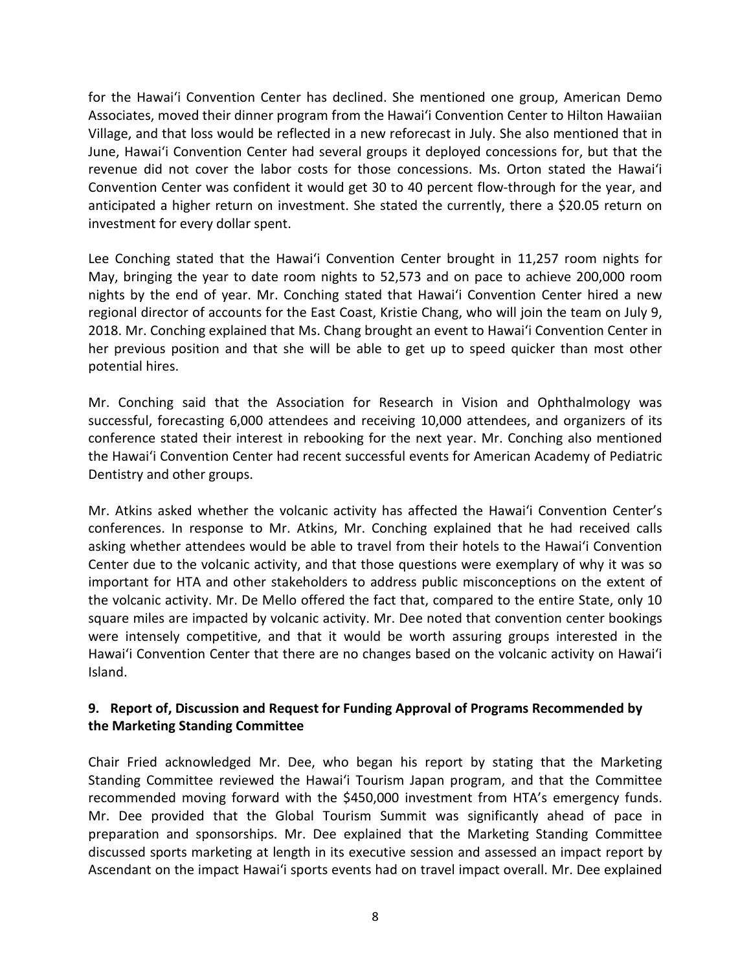for the Hawai'i Convention Center has declined. She mentioned one group, American Demo Associates, moved their dinner program from the Hawai'i Convention Center to Hilton Hawaiian Village, and that loss would be reflected in a new reforecast in July. She also mentioned that in June, Hawai'i Convention Center had several groups it deployed concessions for, but that the revenue did not cover the labor costs for those concessions. Ms. Orton stated the Hawai'i Convention Center was confident it would get 30 to 40 percent flow-through for the year, and anticipated a higher return on investment. She stated the currently, there a \$20.05 return on investment for every dollar spent.

Lee Conching stated that the Hawai'i Convention Center brought in 11,257 room nights for May, bringing the year to date room nights to 52,573 and on pace to achieve 200,000 room nights by the end of year. Mr. Conching stated that Hawai'i Convention Center hired a new regional director of accounts for the East Coast, Kristie Chang, who will join the team on July 9, 2018. Mr. Conching explained that Ms. Chang brought an event to Hawai'i Convention Center in her previous position and that she will be able to get up to speed quicker than most other potential hires.

Mr. Conching said that the Association for Research in Vision and Ophthalmology was successful, forecasting 6,000 attendees and receiving 10,000 attendees, and organizers of its conference stated their interest in rebooking for the next year. Mr. Conching also mentioned the Hawai'i Convention Center had recent successful events for American Academy of Pediatric Dentistry and other groups.

Mr. Atkins asked whether the volcanic activity has affected the Hawai'i Convention Center's conferences. In response to Mr. Atkins, Mr. Conching explained that he had received calls asking whether attendees would be able to travel from their hotels to the Hawai'i Convention Center due to the volcanic activity, and that those questions were exemplary of why it was so important for HTA and other stakeholders to address public misconceptions on the extent of the volcanic activity. Mr. De Mello offered the fact that, compared to the entire State, only 10 square miles are impacted by volcanic activity. Mr. Dee noted that convention center bookings were intensely competitive, and that it would be worth assuring groups interested in the Hawai'i Convention Center that there are no changes based on the volcanic activity on Hawai'i Island.

## **9. Report of, Discussion and Request for Funding Approval of Programs Recommended by the Marketing Standing Committee**

Chair Fried acknowledged Mr. Dee, who began his report by stating that the Marketing Standing Committee reviewed the Hawai'i Tourism Japan program, and that the Committee recommended moving forward with the \$450,000 investment from HTA's emergency funds. Mr. Dee provided that the Global Tourism Summit was significantly ahead of pace in preparation and sponsorships. Mr. Dee explained that the Marketing Standing Committee discussed sports marketing at length in its executive session and assessed an impact report by Ascendant on the impact Hawai'i sports events had on travel impact overall. Mr. Dee explained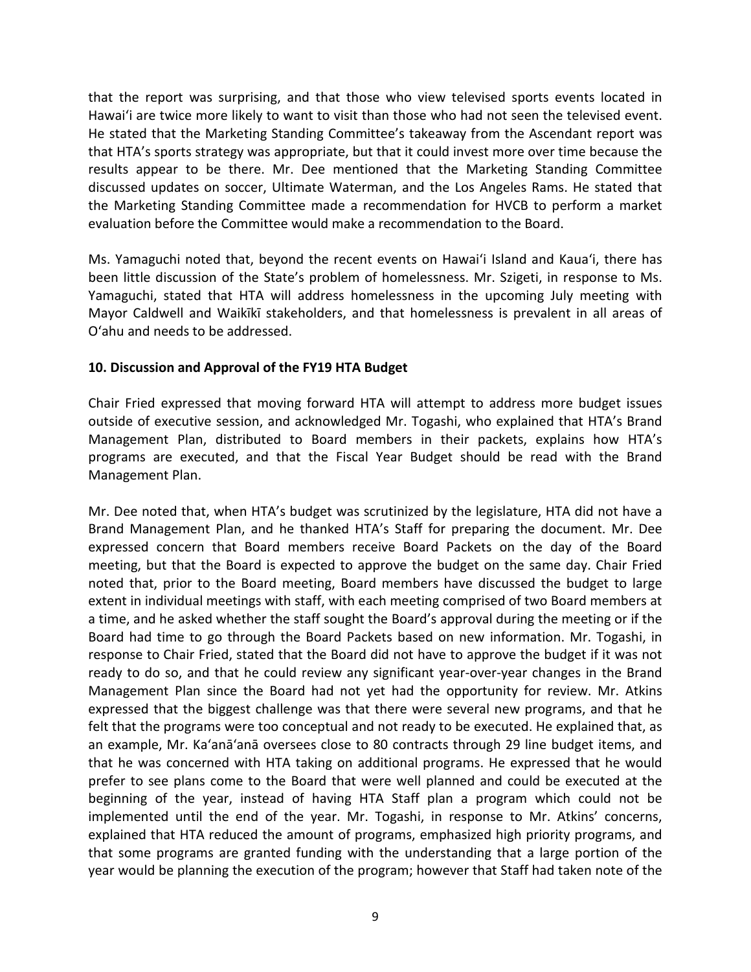that the report was surprising, and that those who view televised sports events located in Hawai'i are twice more likely to want to visit than those who had not seen the televised event. He stated that the Marketing Standing Committee's takeaway from the Ascendant report was that HTA's sports strategy was appropriate, but that it could invest more over time because the results appear to be there. Mr. Dee mentioned that the Marketing Standing Committee discussed updates on soccer, Ultimate Waterman, and the Los Angeles Rams. He stated that the Marketing Standing Committee made a recommendation for HVCB to perform a market evaluation before the Committee would make a recommendation to the Board.

Ms. Yamaguchi noted that, beyond the recent events on Hawai'i Island and Kaua'i, there has been little discussion of the State's problem of homelessness. Mr. Szigeti, in response to Ms. Yamaguchi, stated that HTA will address homelessness in the upcoming July meeting with Mayor Caldwell and Waikīkī stakeholders, and that homelessness is prevalent in all areas of O'ahu and needs to be addressed.

#### **10. Discussion and Approval of the FY19 HTA Budget**

Chair Fried expressed that moving forward HTA will attempt to address more budget issues outside of executive session, and acknowledged Mr. Togashi, who explained that HTA's Brand Management Plan, distributed to Board members in their packets, explains how HTA's programs are executed, and that the Fiscal Year Budget should be read with the Brand Management Plan.

Mr. Dee noted that, when HTA's budget was scrutinized by the legislature, HTA did not have a Brand Management Plan, and he thanked HTA's Staff for preparing the document. Mr. Dee expressed concern that Board members receive Board Packets on the day of the Board meeting, but that the Board is expected to approve the budget on the same day. Chair Fried noted that, prior to the Board meeting, Board members have discussed the budget to large extent in individual meetings with staff, with each meeting comprised of two Board members at a time, and he asked whether the staff sought the Board's approval during the meeting or if the Board had time to go through the Board Packets based on new information. Mr. Togashi, in response to Chair Fried, stated that the Board did not have to approve the budget if it was not ready to do so, and that he could review any significant year-over-year changes in the Brand Management Plan since the Board had not yet had the opportunity for review. Mr. Atkins expressed that the biggest challenge was that there were several new programs, and that he felt that the programs were too conceptual and not ready to be executed. He explained that, as an example, Mr. Ka'anā'anā oversees close to 80 contracts through 29 line budget items, and that he was concerned with HTA taking on additional programs. He expressed that he would prefer to see plans come to the Board that were well planned and could be executed at the beginning of the year, instead of having HTA Staff plan a program which could not be implemented until the end of the year. Mr. Togashi, in response to Mr. Atkins' concerns, explained that HTA reduced the amount of programs, emphasized high priority programs, and that some programs are granted funding with the understanding that a large portion of the year would be planning the execution of the program; however that Staff had taken note of the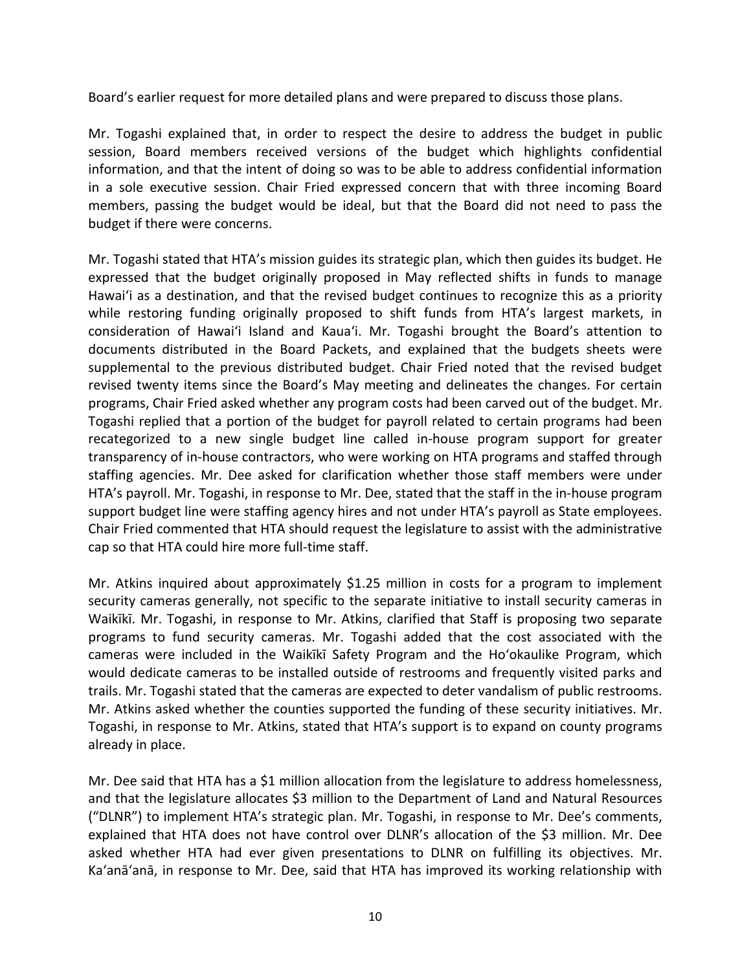Board's earlier request for more detailed plans and were prepared to discuss those plans.

Mr. Togashi explained that, in order to respect the desire to address the budget in public session, Board members received versions of the budget which highlights confidential information, and that the intent of doing so was to be able to address confidential information in a sole executive session. Chair Fried expressed concern that with three incoming Board members, passing the budget would be ideal, but that the Board did not need to pass the budget if there were concerns.

Mr. Togashi stated that HTA's mission guides its strategic plan, which then guides its budget. He expressed that the budget originally proposed in May reflected shifts in funds to manage Hawai'i as a destination, and that the revised budget continues to recognize this as a priority while restoring funding originally proposed to shift funds from HTA's largest markets, in consideration of Hawai'i Island and Kaua'i. Mr. Togashi brought the Board's attention to documents distributed in the Board Packets, and explained that the budgets sheets were supplemental to the previous distributed budget. Chair Fried noted that the revised budget revised twenty items since the Board's May meeting and delineates the changes. For certain programs, Chair Fried asked whether any program costs had been carved out of the budget. Mr. Togashi replied that a portion of the budget for payroll related to certain programs had been recategorized to a new single budget line called in-house program support for greater transparency of in-house contractors, who were working on HTA programs and staffed through staffing agencies. Mr. Dee asked for clarification whether those staff members were under HTA's payroll. Mr. Togashi, in response to Mr. Dee, stated that the staff in the in-house program support budget line were staffing agency hires and not under HTA's payroll as State employees. Chair Fried commented that HTA should request the legislature to assist with the administrative cap so that HTA could hire more full-time staff.

Mr. Atkins inquired about approximately \$1.25 million in costs for a program to implement security cameras generally, not specific to the separate initiative to install security cameras in Waikīkī. Mr. Togashi, in response to Mr. Atkins, clarified that Staff is proposing two separate programs to fund security cameras. Mr. Togashi added that the cost associated with the cameras were included in the Waikīkī Safety Program and the Ho'okaulike Program, which would dedicate cameras to be installed outside of restrooms and frequently visited parks and trails. Mr. Togashi stated that the cameras are expected to deter vandalism of public restrooms. Mr. Atkins asked whether the counties supported the funding of these security initiatives. Mr. Togashi, in response to Mr. Atkins, stated that HTA's support is to expand on county programs already in place.

Mr. Dee said that HTA has a \$1 million allocation from the legislature to address homelessness, and that the legislature allocates \$3 million to the Department of Land and Natural Resources ("DLNR") to implement HTA's strategic plan. Mr. Togashi, in response to Mr. Dee's comments, explained that HTA does not have control over DLNR's allocation of the \$3 million. Mr. Dee asked whether HTA had ever given presentations to DLNR on fulfilling its objectives. Mr. Ka'anā'anā, in response to Mr. Dee, said that HTA has improved its working relationship with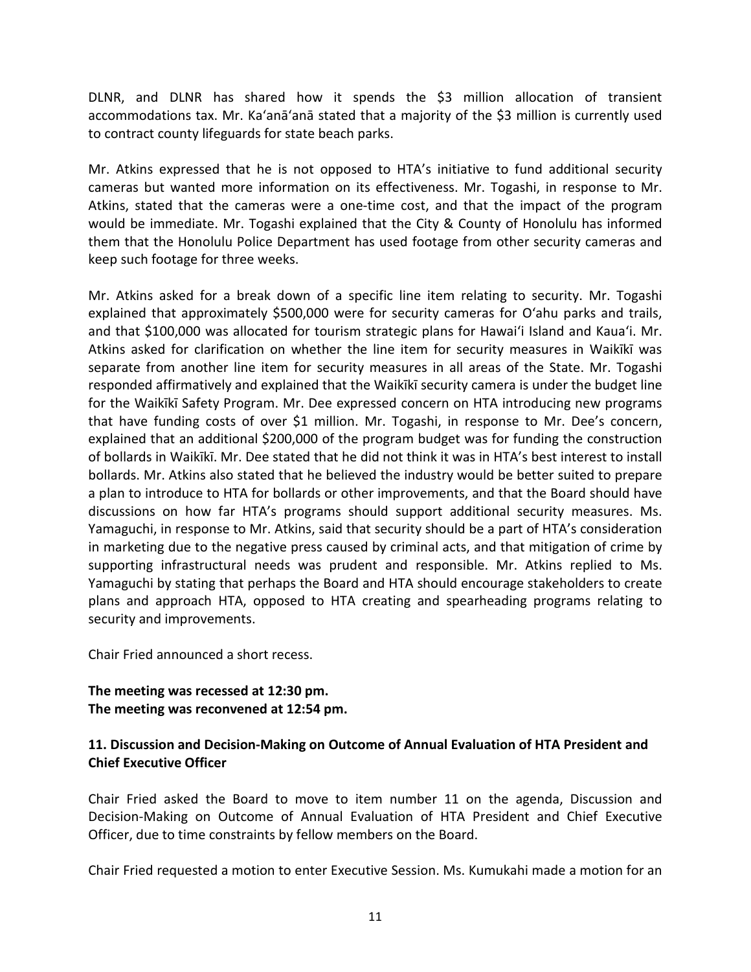DLNR, and DLNR has shared how it spends the \$3 million allocation of transient accommodations tax. Mr. Ka'anā'anā stated that a majority of the \$3 million is currently used to contract county lifeguards for state beach parks.

Mr. Atkins expressed that he is not opposed to HTA's initiative to fund additional security cameras but wanted more information on its effectiveness. Mr. Togashi, in response to Mr. Atkins, stated that the cameras were a one-time cost, and that the impact of the program would be immediate. Mr. Togashi explained that the City & County of Honolulu has informed them that the Honolulu Police Department has used footage from other security cameras and keep such footage for three weeks.

Mr. Atkins asked for a break down of a specific line item relating to security. Mr. Togashi explained that approximately \$500,000 were for security cameras for O'ahu parks and trails, and that \$100,000 was allocated for tourism strategic plans for Hawai'i Island and Kaua'i. Mr. Atkins asked for clarification on whether the line item for security measures in Waikīkī was separate from another line item for security measures in all areas of the State. Mr. Togashi responded affirmatively and explained that the Waikīkī security camera is under the budget line for the Waikīkī Safety Program. Mr. Dee expressed concern on HTA introducing new programs that have funding costs of over \$1 million. Mr. Togashi, in response to Mr. Dee's concern, explained that an additional \$200,000 of the program budget was for funding the construction of bollards in Waikīkī. Mr. Dee stated that he did not think it was in HTA's best interest to install bollards. Mr. Atkins also stated that he believed the industry would be better suited to prepare a plan to introduce to HTA for bollards or other improvements, and that the Board should have discussions on how far HTA's programs should support additional security measures. Ms. Yamaguchi, in response to Mr. Atkins, said that security should be a part of HTA's consideration in marketing due to the negative press caused by criminal acts, and that mitigation of crime by supporting infrastructural needs was prudent and responsible. Mr. Atkins replied to Ms. Yamaguchi by stating that perhaps the Board and HTA should encourage stakeholders to create plans and approach HTA, opposed to HTA creating and spearheading programs relating to security and improvements.

Chair Fried announced a short recess.

## **The meeting was recessed at 12:30 pm. The meeting was reconvened at 12:54 pm.**

## **11. Discussion and Decision-Making on Outcome of Annual Evaluation of HTA President and Chief Executive Officer**

Chair Fried asked the Board to move to item number 11 on the agenda, Discussion and Decision-Making on Outcome of Annual Evaluation of HTA President and Chief Executive Officer, due to time constraints by fellow members on the Board.

Chair Fried requested a motion to enter Executive Session. Ms. Kumukahi made a motion for an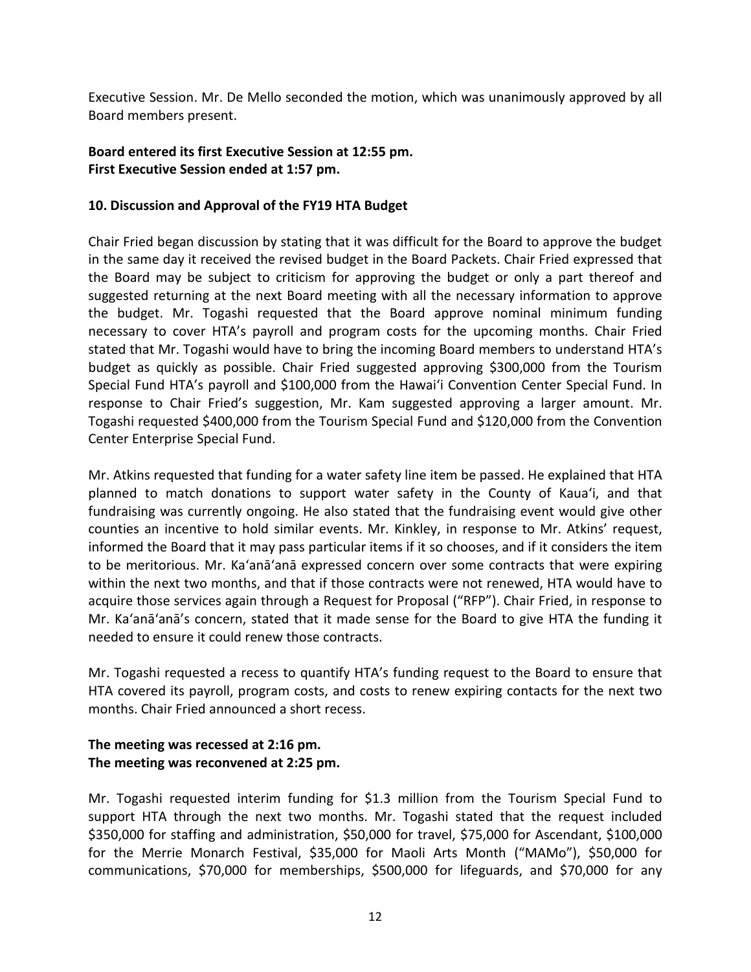Executive Session. Mr. De Mello seconded the motion, which was unanimously approved by all Board members present.

## **Board entered its first Executive Session at 12:55 pm. First Executive Session ended at 1:57 pm.**

#### **10. Discussion and Approval of the FY19 HTA Budget**

Chair Fried began discussion by stating that it was difficult for the Board to approve the budget in the same day it received the revised budget in the Board Packets. Chair Fried expressed that the Board may be subject to criticism for approving the budget or only a part thereof and suggested returning at the next Board meeting with all the necessary information to approve the budget. Mr. Togashi requested that the Board approve nominal minimum funding necessary to cover HTA's payroll and program costs for the upcoming months. Chair Fried stated that Mr. Togashi would have to bring the incoming Board members to understand HTA's budget as quickly as possible. Chair Fried suggested approving \$300,000 from the Tourism Special Fund HTA's payroll and \$100,000 from the Hawai'i Convention Center Special Fund. In response to Chair Fried's suggestion, Mr. Kam suggested approving a larger amount. Mr. Togashi requested \$400,000 from the Tourism Special Fund and \$120,000 from the Convention Center Enterprise Special Fund.

Mr. Atkins requested that funding for a water safety line item be passed. He explained that HTA planned to match donations to support water safety in the County of Kaua'i, and that fundraising was currently ongoing. He also stated that the fundraising event would give other counties an incentive to hold similar events. Mr. Kinkley, in response to Mr. Atkins' request, informed the Board that it may pass particular items if it so chooses, and if it considers the item to be meritorious. Mr. Ka'anā'anā expressed concern over some contracts that were expiring within the next two months, and that if those contracts were not renewed, HTA would have to acquire those services again through a Request for Proposal ("RFP"). Chair Fried, in response to Mr. Ka'anā'anā's concern, stated that it made sense for the Board to give HTA the funding it needed to ensure it could renew those contracts.

Mr. Togashi requested a recess to quantify HTA's funding request to the Board to ensure that HTA covered its payroll, program costs, and costs to renew expiring contacts for the next two months. Chair Fried announced a short recess.

## **The meeting was recessed at 2:16 pm. The meeting was reconvened at 2:25 pm.**

Mr. Togashi requested interim funding for \$1.3 million from the Tourism Special Fund to support HTA through the next two months. Mr. Togashi stated that the request included \$350,000 for staffing and administration, \$50,000 for travel, \$75,000 for Ascendant, \$100,000 for the Merrie Monarch Festival, \$35,000 for Maoli Arts Month ("MAMo"), \$50,000 for communications, \$70,000 for memberships, \$500,000 for lifeguards, and \$70,000 for any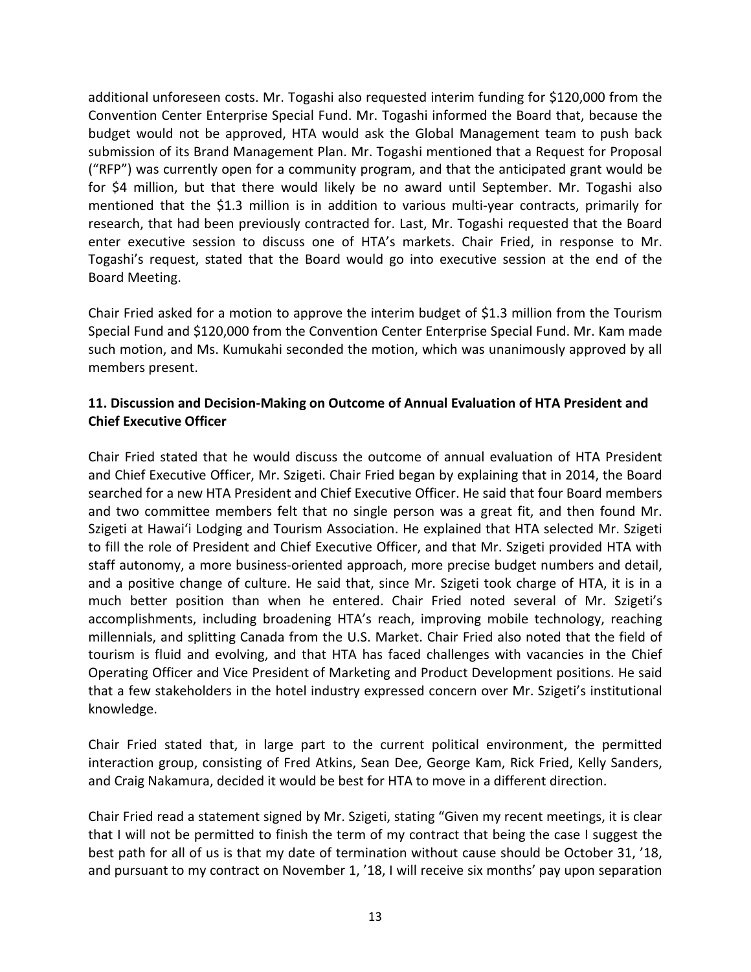additional unforeseen costs. Mr. Togashi also requested interim funding for \$120,000 from the Convention Center Enterprise Special Fund. Mr. Togashi informed the Board that, because the budget would not be approved, HTA would ask the Global Management team to push back submission of its Brand Management Plan. Mr. Togashi mentioned that a Request for Proposal ("RFP") was currently open for a community program, and that the anticipated grant would be for \$4 million, but that there would likely be no award until September. Mr. Togashi also mentioned that the \$1.3 million is in addition to various multi-year contracts, primarily for research, that had been previously contracted for. Last, Mr. Togashi requested that the Board enter executive session to discuss one of HTA's markets. Chair Fried, in response to Mr. Togashi's request, stated that the Board would go into executive session at the end of the Board Meeting.

Chair Fried asked for a motion to approve the interim budget of \$1.3 million from the Tourism Special Fund and \$120,000 from the Convention Center Enterprise Special Fund. Mr. Kam made such motion, and Ms. Kumukahi seconded the motion, which was unanimously approved by all members present.

## **11. Discussion and Decision-Making on Outcome of Annual Evaluation of HTA President and Chief Executive Officer**

Chair Fried stated that he would discuss the outcome of annual evaluation of HTA President and Chief Executive Officer, Mr. Szigeti. Chair Fried began by explaining that in 2014, the Board searched for a new HTA President and Chief Executive Officer. He said that four Board members and two committee members felt that no single person was a great fit, and then found Mr. Szigeti at Hawai'i Lodging and Tourism Association. He explained that HTA selected Mr. Szigeti to fill the role of President and Chief Executive Officer, and that Mr. Szigeti provided HTA with staff autonomy, a more business-oriented approach, more precise budget numbers and detail, and a positive change of culture. He said that, since Mr. Szigeti took charge of HTA, it is in a much better position than when he entered. Chair Fried noted several of Mr. Szigeti's accomplishments, including broadening HTA's reach, improving mobile technology, reaching millennials, and splitting Canada from the U.S. Market. Chair Fried also noted that the field of tourism is fluid and evolving, and that HTA has faced challenges with vacancies in the Chief Operating Officer and Vice President of Marketing and Product Development positions. He said that a few stakeholders in the hotel industry expressed concern over Mr. Szigeti's institutional knowledge.

Chair Fried stated that, in large part to the current political environment, the permitted interaction group, consisting of Fred Atkins, Sean Dee, George Kam, Rick Fried, Kelly Sanders, and Craig Nakamura, decided it would be best for HTA to move in a different direction.

Chair Fried read a statement signed by Mr. Szigeti, stating "Given my recent meetings, it is clear that I will not be permitted to finish the term of my contract that being the case I suggest the best path for all of us is that my date of termination without cause should be October 31, '18, and pursuant to my contract on November 1, '18, I will receive six months' pay upon separation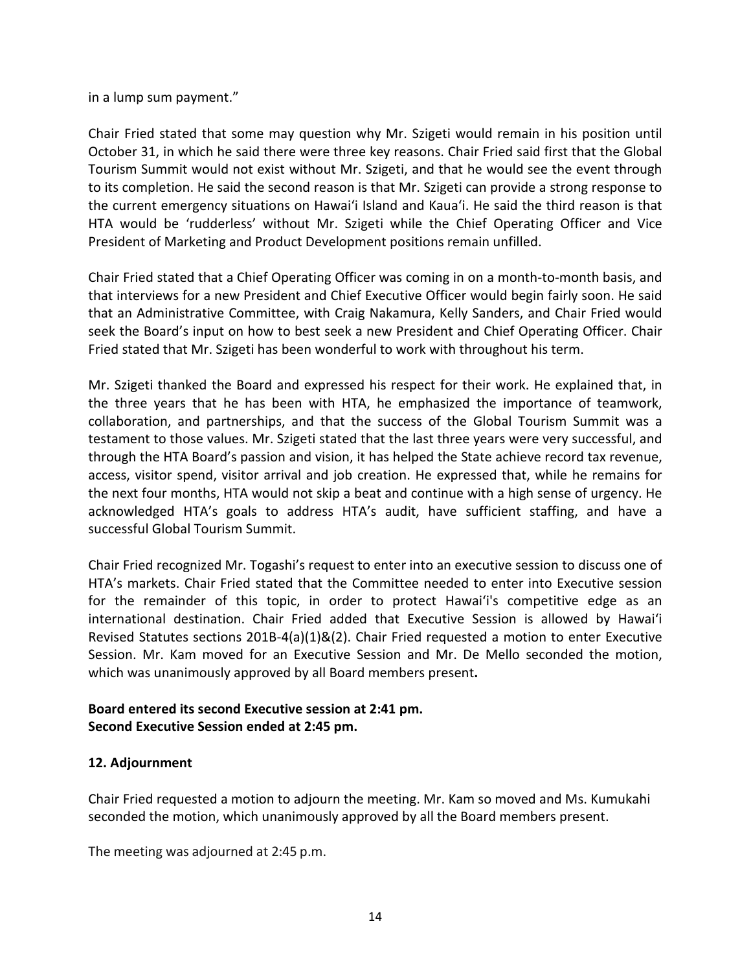in a lump sum payment."

Chair Fried stated that some may question why Mr. Szigeti would remain in his position until October 31, in which he said there were three key reasons. Chair Fried said first that the Global Tourism Summit would not exist without Mr. Szigeti, and that he would see the event through to its completion. He said the second reason is that Mr. Szigeti can provide a strong response to the current emergency situations on Hawai'i Island and Kaua'i. He said the third reason is that HTA would be 'rudderless' without Mr. Szigeti while the Chief Operating Officer and Vice President of Marketing and Product Development positions remain unfilled.

Chair Fried stated that a Chief Operating Officer was coming in on a month-to-month basis, and that interviews for a new President and Chief Executive Officer would begin fairly soon. He said that an Administrative Committee, with Craig Nakamura, Kelly Sanders, and Chair Fried would seek the Board's input on how to best seek a new President and Chief Operating Officer. Chair Fried stated that Mr. Szigeti has been wonderful to work with throughout his term.

Mr. Szigeti thanked the Board and expressed his respect for their work. He explained that, in the three years that he has been with HTA, he emphasized the importance of teamwork, collaboration, and partnerships, and that the success of the Global Tourism Summit was a testament to those values. Mr. Szigeti stated that the last three years were very successful, and through the HTA Board's passion and vision, it has helped the State achieve record tax revenue, access, visitor spend, visitor arrival and job creation. He expressed that, while he remains for the next four months, HTA would not skip a beat and continue with a high sense of urgency. He acknowledged HTA's goals to address HTA's audit, have sufficient staffing, and have a successful Global Tourism Summit.

Chair Fried recognized Mr. Togashi's request to enter into an executive session to discuss one of HTA's markets. Chair Fried stated that the Committee needed to enter into Executive session for the remainder of this topic, in order to protect Hawai'i's competitive edge as an international destination. Chair Fried added that Executive Session is allowed by Hawai'i Revised Statutes sections 201B-4(a)(1)&(2). Chair Fried requested a motion to enter Executive Session. Mr. Kam moved for an Executive Session and Mr. De Mello seconded the motion, which was unanimously approved by all Board members present**.** 

## **Board entered its second Executive session at 2:41 pm. Second Executive Session ended at 2:45 pm.**

## **12. Adjournment**

Chair Fried requested a motion to adjourn the meeting. Mr. Kam so moved and Ms. Kumukahi seconded the motion, which unanimously approved by all the Board members present.

The meeting was adjourned at 2:45 p.m.